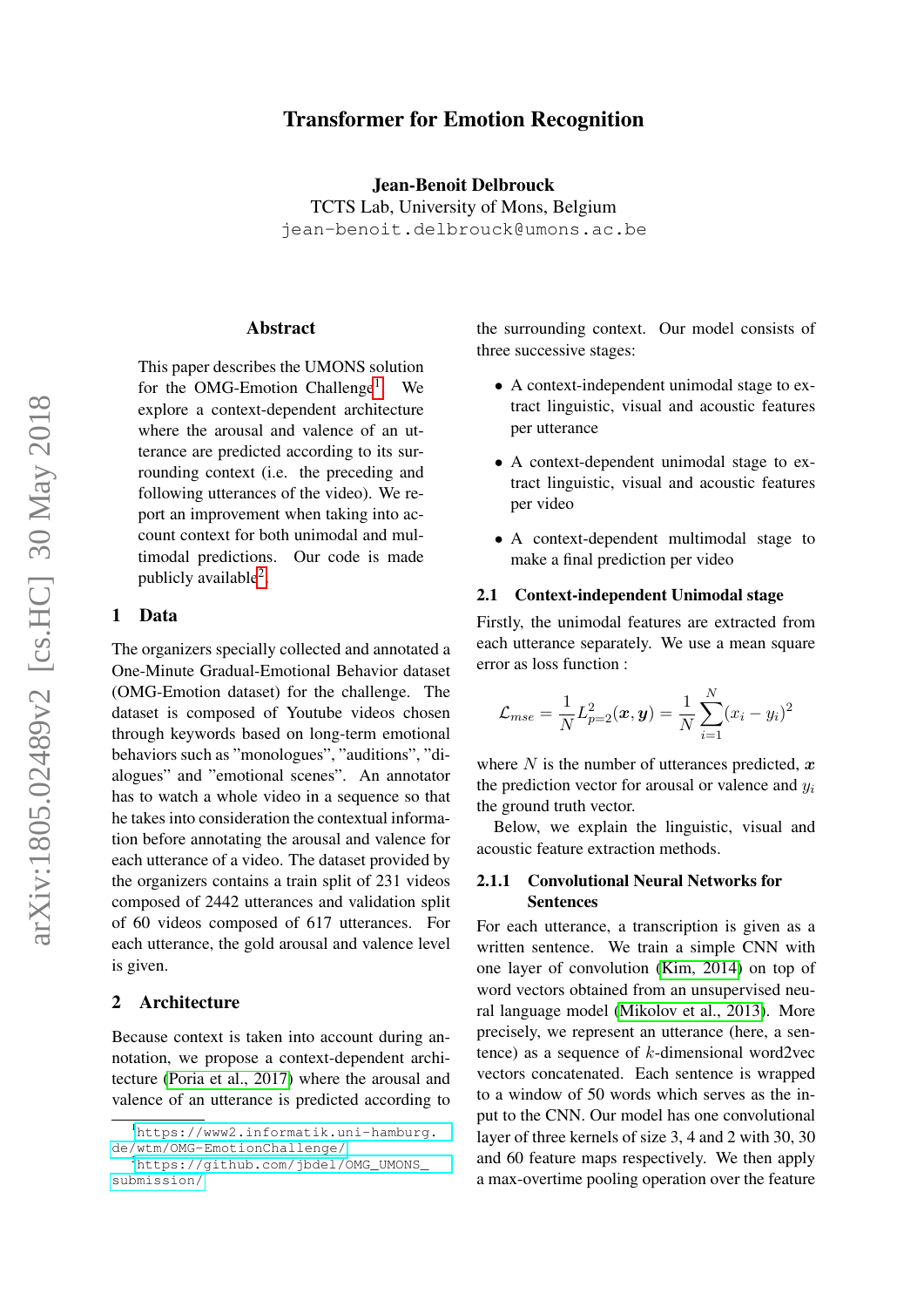# Transformer for Emotion Recognition

Jean-Benoit Delbrouck

TCTS Lab, University of Mons, Belgium jean-benoit.delbrouck@umons.ac.be

#### Abstract

This paper describes the UMONS solution for the OMG-Emotion Challenge<sup>[1](#page-0-0)</sup>. We explore a context-dependent architecture where the arousal and valence of an utterance are predicted according to its surrounding context (i.e. the preceding and following utterances of the video). We report an improvement when taking into account context for both unimodal and multimodal predictions. Our code is made publicly available<sup>[2](#page-0-1)</sup>.

#### 1 Data

The organizers specially collected and annotated a One-Minute Gradual-Emotional Behavior dataset (OMG-Emotion dataset) for the challenge. The dataset is composed of Youtube videos chosen through keywords based on long-term emotional behaviors such as "monologues", "auditions", "dialogues" and "emotional scenes". An annotator has to watch a whole video in a sequence so that he takes into consideration the contextual information before annotating the arousal and valence for each utterance of a video. The dataset provided by the organizers contains a train split of 231 videos composed of 2442 utterances and validation split of 60 videos composed of 617 utterances. For each utterance, the gold arousal and valence level is given.

## 2 Architecture

Because context is taken into account during annotation, we propose a context-dependent architecture [\(Poria et al., 2017\)](#page-3-0) where the arousal and valence of an utterance is predicted according to the surrounding context. Our model consists of three successive stages:

- A context-independent unimodal stage to extract linguistic, visual and acoustic features per utterance
- A context-dependent unimodal stage to extract linguistic, visual and acoustic features per video
- A context-dependent multimodal stage to make a final prediction per video

#### 2.1 Context-independent Unimodal stage

Firstly, the unimodal features are extracted from each utterance separately. We use a mean square error as loss function :

$$
\mathcal{L}_{mse} = \frac{1}{N} L_{p=2}^2(\bm{x}, \bm{y}) = \frac{1}{N} \sum_{i=1}^N (x_i - y_i)^2
$$

where  $N$  is the number of utterances predicted,  $x$ the prediction vector for arousal or valence and  $y_i$ the ground truth vector.

Below, we explain the linguistic, visual and acoustic feature extraction methods.

## 2.1.1 Convolutional Neural Networks for Sentences

For each utterance, a transcription is given as a written sentence. We train a simple CNN with one layer of convolution [\(Kim, 2014\)](#page-3-1) on top of word vectors obtained from an unsupervised neural language model [\(Mikolov et al., 2013\)](#page-3-2). More precisely, we represent an utterance (here, a sentence) as a sequence of k-dimensional word2vec vectors concatenated. Each sentence is wrapped to a window of 50 words which serves as the input to the CNN. Our model has one convolutional layer of three kernels of size 3, 4 and 2 with 30, 30 and 60 feature maps respectively. We then apply a max-overtime pooling operation over the feature

<span id="page-0-0"></span><sup>1</sup>[https://www2.informatik.uni-hamburg.](https://www2.informatik.uni-hamburg.de/wtm/OMG-EmotionChallenge/) [de/wtm/OMG-EmotionChallenge/](https://www2.informatik.uni-hamburg.de/wtm/OMG-EmotionChallenge/)

<span id="page-0-1"></span><sup>2</sup>[https://github.com/jbdel/OMG\\_UMONS\\_](https://github.com/jbdel/OMG_UMONS_submission/) [submission/](https://github.com/jbdel/OMG_UMONS_submission/)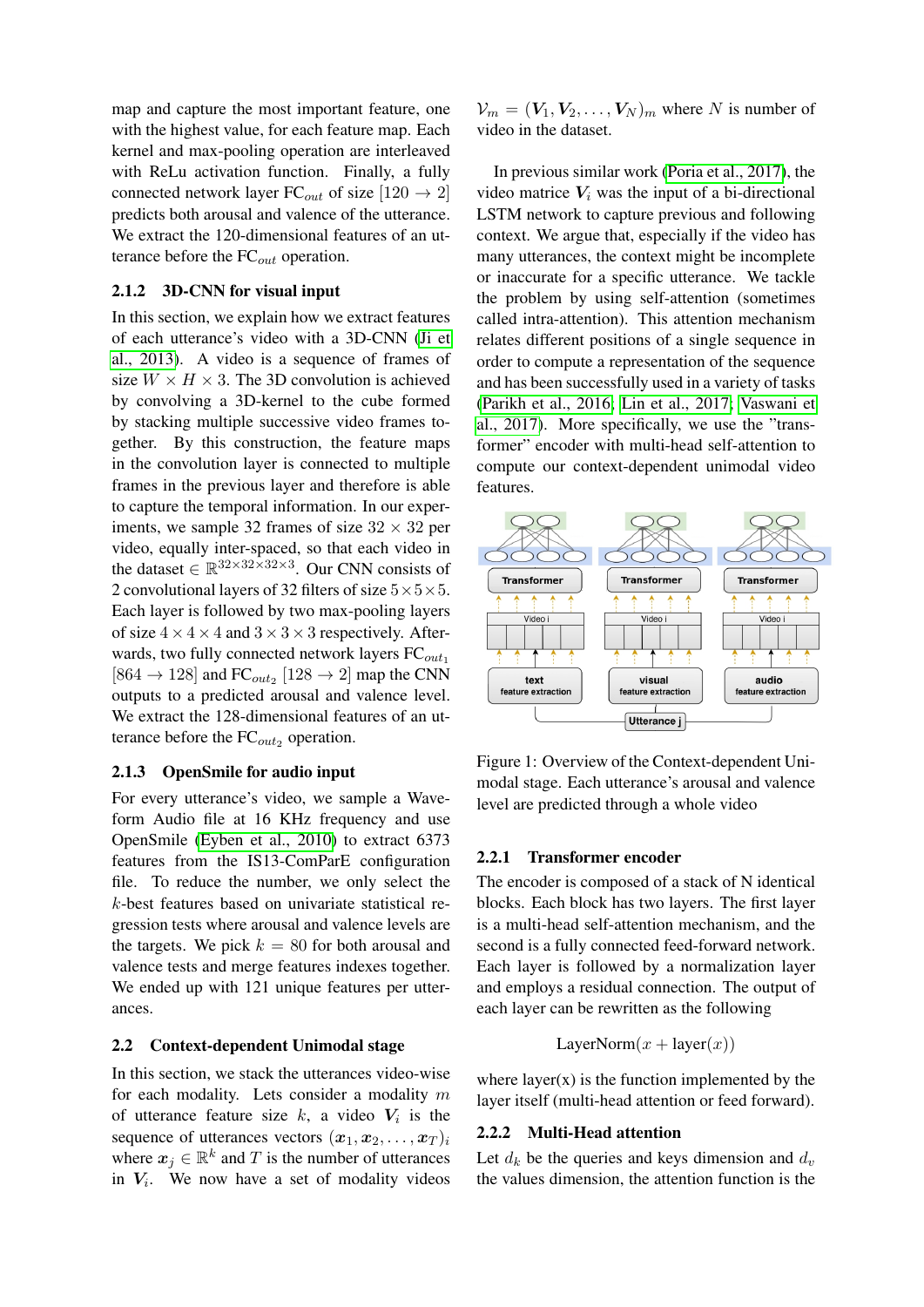map and capture the most important feature, one with the highest value, for each feature map. Each kernel and max-pooling operation are interleaved with ReLu activation function. Finally, a fully connected network layer FC<sub>out</sub> of size [120  $\rightarrow$  2] predicts both arousal and valence of the utterance. We extract the 120-dimensional features of an utterance before the  $FC_{out}$  operation.

## 2.1.2 3D-CNN for visual input

In this section, we explain how we extract features of each utterance's video with a 3D-CNN [\(Ji et](#page-2-0) [al., 2013\)](#page-2-0). A video is a sequence of frames of size  $W \times H \times 3$ . The 3D convolution is achieved by convolving a 3D-kernel to the cube formed by stacking multiple successive video frames together. By this construction, the feature maps in the convolution layer is connected to multiple frames in the previous layer and therefore is able to capture the temporal information. In our experiments, we sample 32 frames of size  $32 \times 32$  per video, equally inter-spaced, so that each video in the dataset  $\in \mathbb{R}^{32 \times 32 \times 32 \times 3}$ . Our CNN consists of 2 convolutional layers of 32 filters of size  $5 \times 5 \times 5$ . Each layer is followed by two max-pooling layers of size  $4 \times 4 \times 4$  and  $3 \times 3 \times 3$  respectively. Afterwards, two fully connected network layers  $FC_{out_1}$ [864  $\rightarrow$  128] and FC<sub>out<sub>2</sub></sub> [128  $\rightarrow$  2] map the CNN outputs to a predicted arousal and valence level. We extract the 128-dimensional features of an utterance before the  $FC_{out_2}$  operation.

## 2.1.3 OpenSmile for audio input

For every utterance's video, we sample a Waveform Audio file at 16 KHz frequency and use OpenSmile [\(Eyben et al., 2010\)](#page-2-1) to extract 6373 features from the IS13-ComParE configuration file. To reduce the number, we only select the k-best features based on univariate statistical regression tests where arousal and valence levels are the targets. We pick  $k = 80$  for both arousal and valence tests and merge features indexes together. We ended up with 121 unique features per utterances.

## 2.2 Context-dependent Unimodal stage

In this section, we stack the utterances video-wise for each modality. Lets consider a modality  $m$ of utterance feature size  $k$ , a video  $V_i$  is the sequence of utterances vectors  $(x_1, x_2, \ldots, x_T)_i$ where  $x_j \in \mathbb{R}^k$  and T is the number of utterances in  $V_i$ . We now have a set of modality videos

 $V_m = (V_1, V_2, \dots, V_N)_m$  where N is number of video in the dataset.

In previous similar work [\(Poria et al., 2017\)](#page-3-0), the video matrice  $V_i$  was the input of a bi-directional LSTM network to capture previous and following context. We argue that, especially if the video has many utterances, the context might be incomplete or inaccurate for a specific utterance. We tackle the problem by using self-attention (sometimes called intra-attention). This attention mechanism relates different positions of a single sequence in order to compute a representation of the sequence and has been successfully used in a variety of tasks [\(Parikh et al., 2016;](#page-3-3) [Lin et al., 2017;](#page-3-4) [Vaswani et](#page-3-5) [al., 2017\)](#page-3-5). More specifically, we use the "transformer" encoder with multi-head self-attention to compute our context-dependent unimodal video features.



Figure 1: Overview of the Context-dependent Unimodal stage. Each utterance's arousal and valence level are predicted through a whole video

#### 2.2.1 Transformer encoder

The encoder is composed of a stack of N identical blocks. Each block has two layers. The first layer is a multi-head self-attention mechanism, and the second is a fully connected feed-forward network. Each layer is followed by a normalization layer and employs a residual connection. The output of each layer can be rewritten as the following

LayerNorm $(x + \text{layer}(x))$ 

where  $layer(x)$  is the function implemented by the layer itself (multi-head attention or feed forward).

### 2.2.2 Multi-Head attention

Let  $d_k$  be the queries and keys dimension and  $d_v$ the values dimension, the attention function is the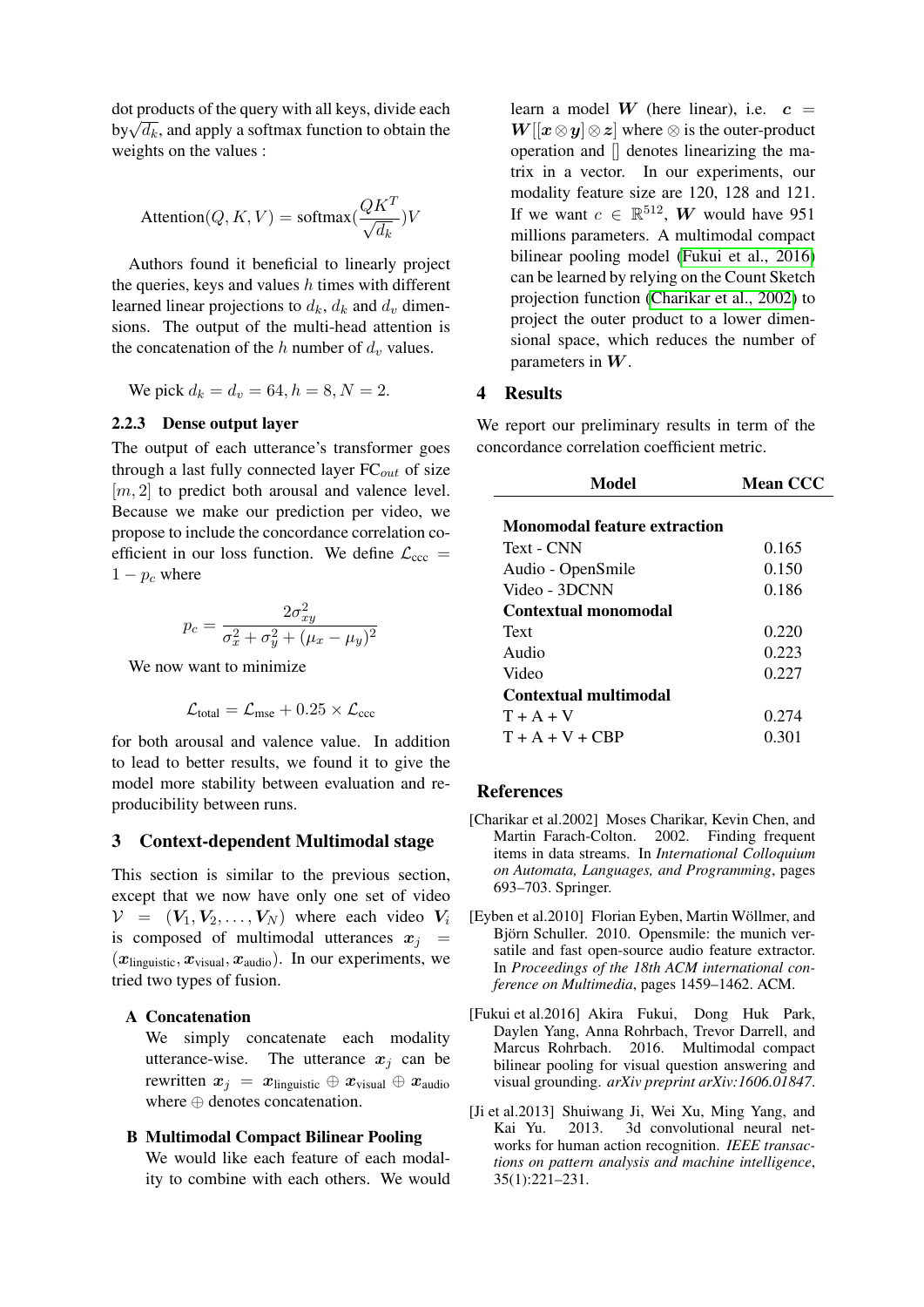dot products of the query with all keys, divide each  $\frac{\partial v}{\partial k}$ , and apply a softmax function to obtain the weights on the values :

$$
\text{Attention}(Q, K, V) = \text{softmax}(\frac{QK^T}{\sqrt{d_k}})V
$$

Authors found it beneficial to linearly project the queries, keys and values  $h$  times with different learned linear projections to  $d_k$ ,  $d_k$  and  $d_v$  dimensions. The output of the multi-head attention is the concatenation of the h number of  $d_v$  values.

We pick  $d_k = d_v = 64, h = 8, N = 2$ .

## 2.2.3 Dense output layer

The output of each utterance's transformer goes through a last fully connected layer  $FC_{out}$  of size  $[m, 2]$  to predict both arousal and valence level. Because we make our prediction per video, we propose to include the concordance correlation coefficient in our loss function. We define  $\mathcal{L}_{ccc}$  =  $1 - p_c$  where

$$
p_c = \frac{2\sigma_{xy}^2}{\sigma_x^2 + \sigma_y^2 + (\mu_x - \mu_y)^2}
$$

We now want to minimize.

$$
\mathcal{L}_{\text{total}} = \mathcal{L}_{\text{mse}} + 0.25 \times \mathcal{L}_{\text{ccc}}
$$

for both arousal and valence value. In addition to lead to better results, we found it to give the model more stability between evaluation and reproducibility between runs.

## 3 Context-dependent Multimodal stage

This section is similar to the previous section, except that we now have only one set of video  $V = (V_1, V_2, \ldots, V_N)$  where each video  $V_i$ is composed of multimodal utterances  $x_i$  =  $(x_{\text{linguistic}}, x_{\text{visual}}, x_{\text{audio}})$ . In our experiments, we tried two types of fusion.

## A Concatenation

We simply concatenate each modality utterance-wise. The utterance  $x_i$  can be rewritten  $x_j = x_{\text{linguistic}} \oplus x_{\text{visual}} \oplus x_{\text{audio}}$ where ⊕ denotes concatenation.

## B Multimodal Compact Bilinear Pooling

We would like each feature of each modality to combine with each others. We would learn a model W (here linear), i.e.  $c =$  $W[[x \otimes y] \otimes z]$  where  $\otimes$  is the outer-product operation and [] denotes linearizing the matrix in a vector. In our experiments, our modality feature size are 120, 128 and 121. If we want  $c \in \mathbb{R}^{512}$ , W would have 951 millions parameters. A multimodal compact bilinear pooling model [\(Fukui et al., 2016\)](#page-2-2) can be learned by relying on the Count Sketch projection function [\(Charikar et al., 2002\)](#page-2-3) to project the outer product to a lower dimensional space, which reduces the number of parameters in  $W$ .

#### 4 Results

We report our preliminary results in term of the concordance correlation coefficient metric.

| Model                        | <b>Mean CCC</b> |
|------------------------------|-----------------|
| Monomodal feature extraction |                 |
| <b>Text - CNN</b>            | 0.165           |
| Audio - OpenSmile            | 0.150           |
| Video - 3DCNN                | 0.186           |
| Contextual monomodal         |                 |
| Text                         | 0.220           |
| Audio                        | 0.223           |
| Video                        | 0.227           |
| <b>Contextual multimodal</b> |                 |
| $T + A + V$                  | 0.274           |
| $T + A + V + CRP$            | 0.301           |

#### References

- <span id="page-2-3"></span>[Charikar et al.2002] Moses Charikar, Kevin Chen, and Martin Farach-Colton. 2002. Finding frequent items in data streams. In *International Colloquium on Automata, Languages, and Programming*, pages 693–703. Springer.
- <span id="page-2-1"></span>[Eyben et al.2010] Florian Eyben, Martin Wöllmer, and Björn Schuller. 2010. Opensmile: the munich versatile and fast open-source audio feature extractor. In *Proceedings of the 18th ACM international conference on Multimedia*, pages 1459–1462. ACM.
- <span id="page-2-2"></span>[Fukui et al.2016] Akira Fukui, Dong Huk Park, Daylen Yang, Anna Rohrbach, Trevor Darrell, and Marcus Rohrbach. 2016. Multimodal compact bilinear pooling for visual question answering and visual grounding. *arXiv preprint arXiv:1606.01847*.
- <span id="page-2-0"></span>[Ji et al.2013] Shuiwang Ji, Wei Xu, Ming Yang, and Kai Yu. 2013. 3d convolutional neural networks for human action recognition. *IEEE transactions on pattern analysis and machine intelligence*, 35(1):221–231.